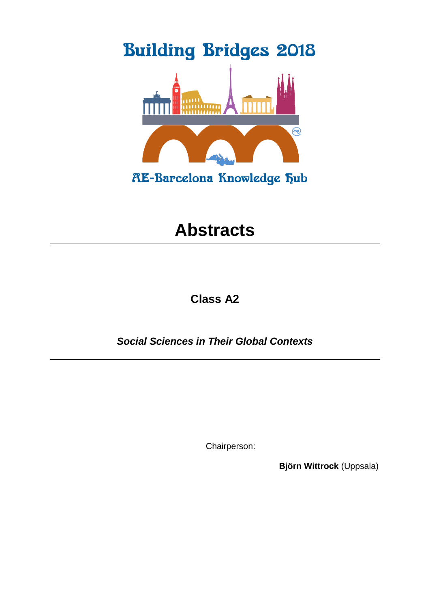

# **Abstracts**

**Class A2**

*Social Sciences in Their Global Contexts*

Chairperson:

**Björn Wittrock** (Uppsala)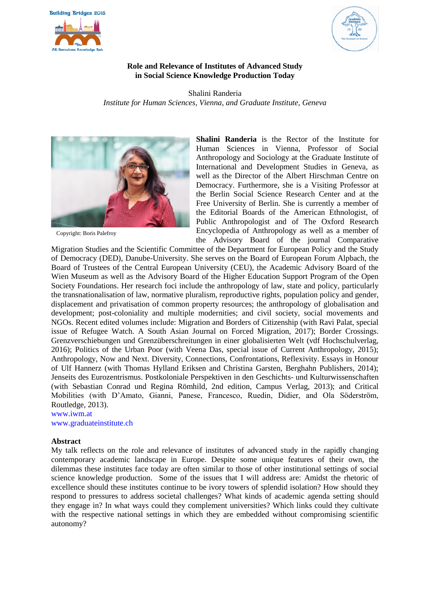

**RE-Barcelona Kno** 



## **Role and Relevance of Institutes of Advanced Study in Social Science Knowledge Production Today**

Shalini Randeria *Institute for Human Sciences, Vienna, and Graduate Institute, Geneva*



Copyright: Boris Palefroy

**Shalini Randeria** is the Rector of the Institute for Human Sciences in Vienna, Professor of Social Anthropology and Sociology at the Graduate Institute of International and Development Studies in Geneva, as well as the Director of the Albert Hirschman Centre on Democracy. Furthermore, she is a Visiting Professor at the Berlin Social Science Research Center and at the Free University of Berlin. She is currently a member of the Editorial Boards of the American Ethnologist, of Public Anthropologist and of The Oxford Research Encyclopedia of Anthropology as well as a member of the Advisory Board of the journal Comparative

Migration Studies and the Scientific Committee of the Department for European Policy and the Study of Democracy (DED), Danube-University. She serves on the Board of European Forum Alpbach, the Board of Trustees of the Central European University (CEU), the Academic Advisory Board of the Wien Museum as well as the Advisory Board of the Higher Education Support Program of the Open Society Foundations. Her research foci include the anthropology of law, state and policy, particularly the transnationalisation of law, normative pluralism, reproductive rights, population policy and gender, displacement and privatisation of common property resources; the anthropology of globalisation and development; post-coloniality and multiple modernities; and civil society, social movements and NGOs. Recent edited volumes include: Migration and Borders of Citizenship (with Ravi Palat, special issue of Refugee Watch. A South Asian Journal on Forced Migration, 2017); Border Crossings. Grenzverschiebungen und Grenzüberschreitungen in einer globalisierten Welt (vdf Hochschulverlag, 2016); Politics of the Urban Poor (with Veena Das, special issue of Current Anthropology, 2015); Anthropology, Now and Next. Diversity, Connections, Confrontations, Reflexivity. Essays in Honour of Ulf Hannerz (with Thomas Hylland Eriksen and Christina Garsten, Berghahn Publishers, 2014); Jenseits des Eurozentrismus. Postkoloniale Perspektiven in den Geschichts- und Kulturwissenschaften (with Sebastian Conrad und Regina Römhild, 2nd edition, Campus Verlag, 2013); and Critical Mobilities (with D'Amato, Gianni, Panese, Francesco, Ruedin, Didier, and Ola Söderström, Routledge, 2013).

[www.iwm.at](../Class%20A1/Class%20A1%20RD%2007.11/www.iwm.at) [www.graduateinstitute.ch](../Class%20A1/Class%20A1%20RD%2007.11/www.graduateinstitute.ch)

#### **Abstract**

My talk reflects on the role and relevance of institutes of advanced study in the rapidly changing contemporary academic landscape in Europe. Despite some unique features of their own, the dilemmas these institutes face today are often similar to those of other institutional settings of social science knowledge production. Some of the issues that I will address are: Amidst the rhetoric of excellence should these institutes continue to be ivory towers of splendid isolation? How should they respond to pressures to address societal challenges? What kinds of academic agenda setting should they engage in? In what ways could they complement universities? Which links could they cultivate with the respective national settings in which they are embedded without compromising scientific autonomy?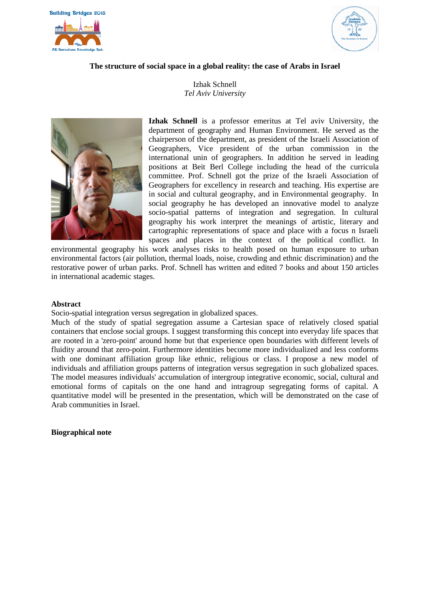





# **The structure of social space in a global reality: the case of Arabs in Israel**

Izhak Schnell *Tel Aviv University*



**Izhak Schnell** is a professor emeritus at Tel aviv University, the department of geography and Human Environment. He served as the chairperson of the department, as president of the Israeli Association of Geographers, Vice president of the urban commission in the international unin of geographers. In addition he served in leading positions at Beit Berl College including the head of the curricula committee. Prof. Schnell got the prize of the Israeli Association of Geographers for excellency in research and teaching. His expertise are in social and cultural geography, and in Environmental geography. In social geography he has developed an innovative model to analyze socio-spatial patterns of integration and segregation. In cultural geography his work interpret the meanings of artistic, literary and cartographic representations of space and place with a focus n Israeli spaces and places in the context of the political conflict. In

environmental geography his work analyses risks to health posed on human exposure to urban environmental factors (air pollution, thermal loads, noise, crowding and ethnic discrimination) and the restorative power of urban parks. Prof. Schnell has written and edited 7 books and about 150 articles in international academic stages.

#### **Abstract**

Socio-spatial integration versus segregation in globalized spaces.

Much of the study of spatial segregation assume a Cartesian space of relatively closed spatial containers that enclose social groups. I suggest transforming this concept into everyday life spaces that are rooted in a 'zero-point' around home but that experience open boundaries with different levels of fluidity around that zero-point. Furthermore identities become more individualized and less conforms with one dominant affiliation group like ethnic, religious or class. I propose a new model of individuals and affiliation groups patterns of integration versus segregation in such globalized spaces. The model measures individuals' accumulation of intergroup integrative economic, social, cultural and emotional forms of capitals on the one hand and intragroup segregating forms of capital. A quantitative model will be presented in the presentation, which will be demonstrated on the case of Arab communities in Israel.

**Biographical note**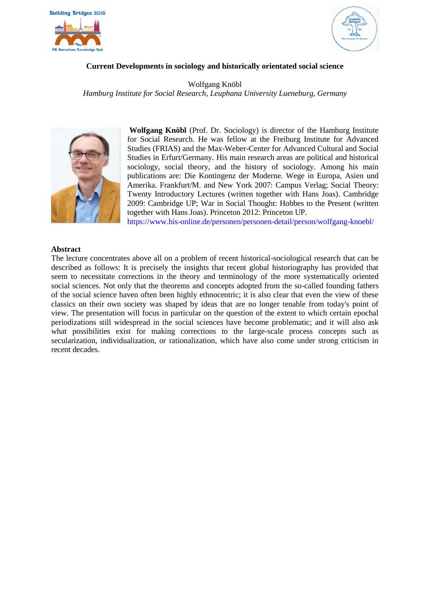



# **Current Developments in sociology and historically orientated social science**

Wolfgang Knöbl *Hamburg Institute for Social Research, Leuphana University Lueneburg, Germany*



**Wolfgang Knöbl** (Prof. Dr. Sociology) is director of the Hamburg Institute for Social Research. He was fellow at the Freiburg Institute for Advanced Studies (FRIAS) and the Max-Weber-Center for Advanced Cultural and Social Studies in Erfurt/Germany. His main research areas are political and historical sociology, social theory, and the history of sociology. Among his main publications are: Die Kontingenz der Moderne. Wege in Europa, Asien und Amerika. Frankfurt/M. and New York 2007: Campus Verlag; Social Theory: Twenty Introductory Lectures (written together with Hans Joas). Cambridge 2009: Cambridge UP; War in Social Thought: Hobbes to the Present (written together with Hans Joas). Princeton 2012: Princeton UP.

<https://www.his-online.de/personen/personen-detail/person/wolfgang-knoebl/>

#### **Abstract**

The lecture concentrates above all on a problem of recent historical-sociological research that can be described as follows: It is precisely the insights that recent global historiography has provided that seem to necessitate corrections in the theory and terminology of the more systematically oriented social sciences. Not only that the theorems and concepts adopted from the so-called founding fathers of the social science haven often been highly ethnocentric; it is also clear that even the view of these classics on their own society was shaped by ideas that are no longer tenable from today's point of view. The presentation will focus in particular on the question of the extent to which certain epochal periodizations still widespread in the social sciences have become problematic; and it will also ask what possibilities exist for making corrections to the large-scale process concepts such as secularization, individualization, or rationalization, which have also come under strong criticism in recent decades.